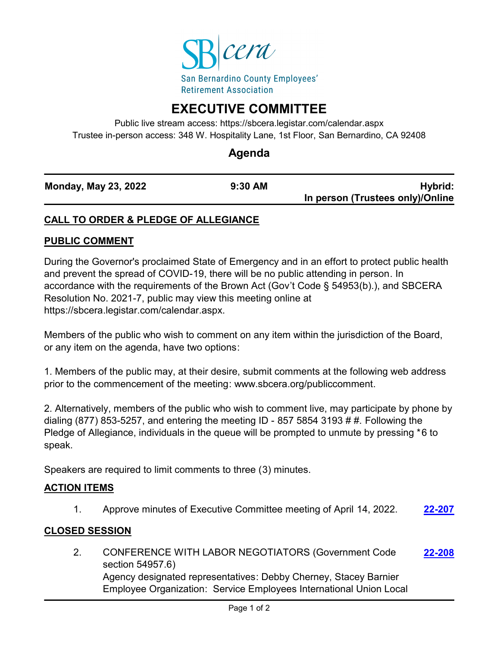

# **EXECUTIVE COMMITTEE**

Public live stream access: https://sbcera.legistar.com/calendar.aspx Trustee in-person access: 348 W. Hospitality Lane, 1st Floor, San Bernardino, CA 92408

# **Agenda**

| <b>Monday, May 23, 2022</b> | $9:30$ AM | Hybrid:                          |
|-----------------------------|-----------|----------------------------------|
|                             |           | In person (Trustees only)/Online |

# **CALL TO ORDER & PLEDGE OF ALLEGIANCE**

#### **PUBLIC COMMENT**

During the Governor's proclaimed State of Emergency and in an effort to protect public health and prevent the spread of COVID-19, there will be no public attending in person. In accordance with the requirements of the Brown Act (Gov't Code § 54953(b).), and SBCERA Resolution No. 2021-7, public may view this meeting online at https://sbcera.legistar.com/calendar.aspx.

Members of the public who wish to comment on any item within the jurisdiction of the Board, or any item on the agenda, have two options:

1. Members of the public may, at their desire, submit comments at the following web address prior to the commencement of the meeting: www.sbcera.org/publiccomment.

2. Alternatively, members of the public who wish to comment live, may participate by phone by dialing (877) 853-5257, and entering the meeting ID - 857 5854 3193 # #. Following the Pledge of Allegiance, individuals in the queue will be prompted to unmute by pressing \*6 to speak.

Speakers are required to limit comments to three (3) minutes.

#### **ACTION ITEMS**

1. Approve minutes of Executive Committee meeting of April 14, 2022. **[22-207](http://sbcera.legistar.com/gateway.aspx?m=l&id=/matter.aspx?key=4524)**

#### **CLOSED SESSION**

2. CONFERENCE WITH LABOR NEGOTIATORS (Government Code section 54957.6) Agency designated representatives: Debby Cherney, Stacey Barnier Employee Organization: Service Employees International Union Local **[22-208](http://sbcera.legistar.com/gateway.aspx?m=l&id=/matter.aspx?key=4525)**